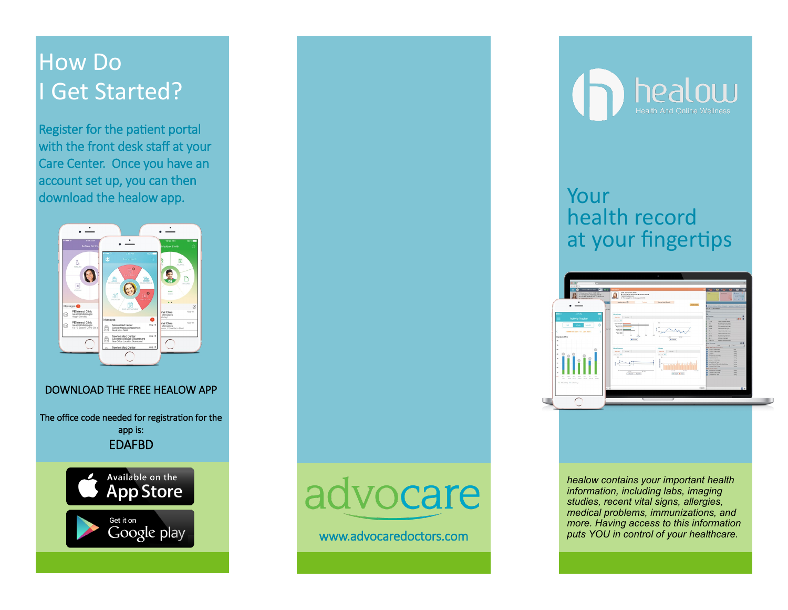## How Do **Get Started?**

Register for the patient portal with the front desk staff at your Care Center. Once you have an account set up, you can then download the healow app. The state of the state of the state of the state of the state of the state of the state of the state of the state of the state of the state of the state of the state of the state of the state of th



### DOWNLOAD THE FREE HEALOW APP

The office code needed for registration for the app is: EDAFBD



# advocare

www.advocaredoctors.com



## health record at your fingertips



*healow contains your important health information, including labs, imaging studies, recent vital signs, allergies, medical problems, immunizations, and more. Having access to this information puts YOU in control of your healthcare.*